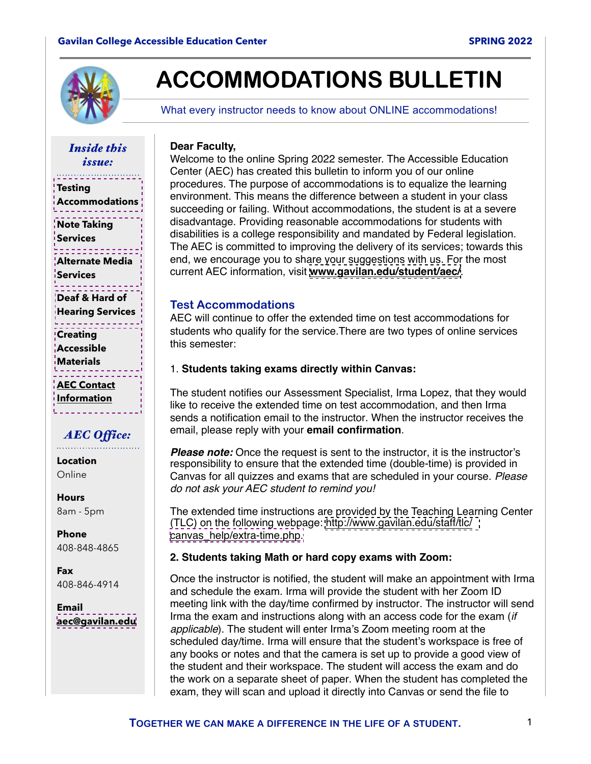<span id="page-0-0"></span>

# **ACCOMMODATIONS BULLETIN**

What every instructor needs to know about ONLINE accommodations!

*Inside this issue:* 

**Testing [Accommodations](#page-3-0)**

**[Note Taking](#page-1-0)  Services**

**[Alternate Media](#page-2-0)  Services**

**Deaf & Hard of [Hearing Services](#page-2-0)**

**Creating [Accessible](#page-2-0)  Materials**

**AEC Contact Information**

### *AEC Office:*

**Location** Online

**Hours** 8am - 5pm

**Phone** 408-848-4865

**Fax** 408-846-4914

**Email [aec@gavilan.edu](mailto:aec@gavilan.edu?subject=)** Welcome to the online Spring 2022 semester. The Accessible Education Center (AEC) has created this bulletin to inform you of our online procedures. The purpose of accommodations is to equalize the learning environment. This means the difference between a student in your class succeeding or failing. Without accommodations, the student is at a severe disadvantage. Providing reasonable accommodations for students with disabilities is a college responsibility and mandated by Federal legislation. The AEC is committed to improving the delivery of its services; towards this end, we encourage you to share your suggestions with us. For the most current AEC information, visit **[www.gavilan.edu/student/aec/](http://www.gavilan.edu/student/aec/index.php)**.

#### **Test Accommodations**

**Dear Faculty,**

AEC will continue to offer the extended time on test accommodations for students who qualify for the service.There are two types of online services this semester:

#### 1. **Students taking exams directly within Canvas:**

The student notifies our Assessment Specialist, Irma Lopez, that they would like to receive the extended time on test accommodation, and then Irma sends a notification email to the instructor. When the instructor receives the email, please reply with your **email confirmation**.

**Please note:** Once the request is sent to the instructor, it is the instructor's responsibility to ensure that the extended time (double-time) is provided in Canvas for all quizzes and exams that are scheduled in your course. *Please do not ask your AEC student to remind you!*

The extended time instructions are provided by the Teaching Learning Center (TLC) on the following webpage: [http://www.gavilan.edu/staff/tlc/](http://www.gavilan.edu/staff/tlc/canvas_help/extra-time.php) [canvas\\_help/extra-time.php.](http://www.gavilan.edu/staff/tlc/canvas_help/extra-time.php)

#### **2. Students taking Math or hard copy exams with Zoom:**

Once the instructor is notified, the student will make an appointment with Irma and schedule the exam. Irma will provide the student with her Zoom ID meeting link with the day/time confirmed by instructor. The instructor will send Irma the exam and instructions along with an access code for the exam (*if applicable*). The student will enter Irma's Zoom meeting room at the scheduled day/time. Irma will ensure that the student's workspace is free of any books or notes and that the camera is set up to provide a good view of the student and their workspace. The student will access the exam and do the work on a separate sheet of paper. When the student has completed the exam, they will scan and upload it directly into Canvas or send the file to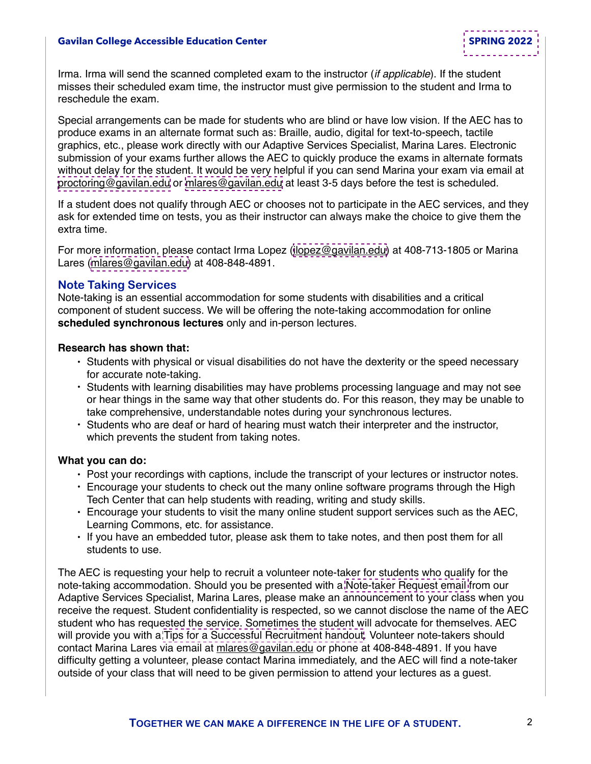#### <span id="page-1-0"></span>**Gavilan College Accessible Education Center [SPRING 2022](#page-0-0)**

Irma. Irma will send the scanned completed exam to the instructor (*if applicable*). If the student misses their scheduled exam time, the instructor must give permission to the student and Irma to reschedule the exam.

Special arrangements can be made for students who are blind or have low vision. If the AEC has to produce exams in an alternate format such as: Braille, audio, digital for text-to-speech, tactile graphics, etc., please work directly with our Adaptive Services Specialist, Marina Lares. Electronic submission of your exams further allows the AEC to quickly produce the exams in alternate formats without delay for the student. It would be very helpful if you can send Marina your exam via email at [proctoring@gavilan.edu](mailto:proctoring@gavilan.edu) or [mlares@gavilan.edu](mailto:mlares@gavilan.edu) at least 3-5 days before the test is scheduled.

If a student does not qualify through AEC or chooses not to participate in the AEC services, and they ask for extended time on tests, you as their instructor can always make the choice to give them the extra time.

For more information, please contact Irma Lopez ([ilopez@gavilan.edu](mailto:ilopez@gavilan.edu)) at 408-713-1805 or Marina Lares [\(mlares@gavilan.edu\)](mailto:mlares@gavilan.edu) at 408-848-4891.

#### **Note Taking Services**

Note-taking is an essential accommodation for some students with disabilities and a critical component of student success. We will be offering the note-taking accommodation for online **scheduled synchronous lectures** only and in-person lectures.

#### **Research has shown that:**

- Students with physical or visual disabilities do not have the dexterity or the speed necessary for accurate note-taking.
- Students with learning disabilities may have problems processing language and may not see or hear things in the same way that other students do. For this reason, they may be unable to take comprehensive, understandable notes during your synchronous lectures.
- Students who are deaf or hard of hearing must watch their interpreter and the instructor, which prevents the student from taking notes.

#### **What you can do:**

- Post your recordings with captions, include the transcript of your lectures or instructor notes.
- Encourage your students to check out the many online software programs through the High Tech Center that can help students with reading, writing and study skills.
- Encourage your students to visit the many online student support services such as the AEC, Learning Commons, etc. for assistance.
- If you have an embedded tutor, please ask them to take notes, and then post them for all students to use.

The AEC is requesting your help to recruit a volunteer note-taker for students who qualify for the note-taking accommodation. Should you be presented with a [Note-taker Request email](#page-4-0) from our Adaptive Services Specialist, Marina Lares, please make an announcement to your class when you receive the request. Student confidentiality is respected, so we cannot disclose the name of the AEC student who has requested the service. Sometimes the student will advocate for themselves. AEC will provide you with a [Tips for a Successful Recruitment handout.](#page-5-0) Volunteer note-takers should contact Marina Lares via email at mlares@gavilan.edu or phone at 408-848-4891. If you have difficulty getting a volunteer, please contact Marina immediately, and the AEC will find a note-taker outside of your class that will need to be given permission to attend your lectures as a guest.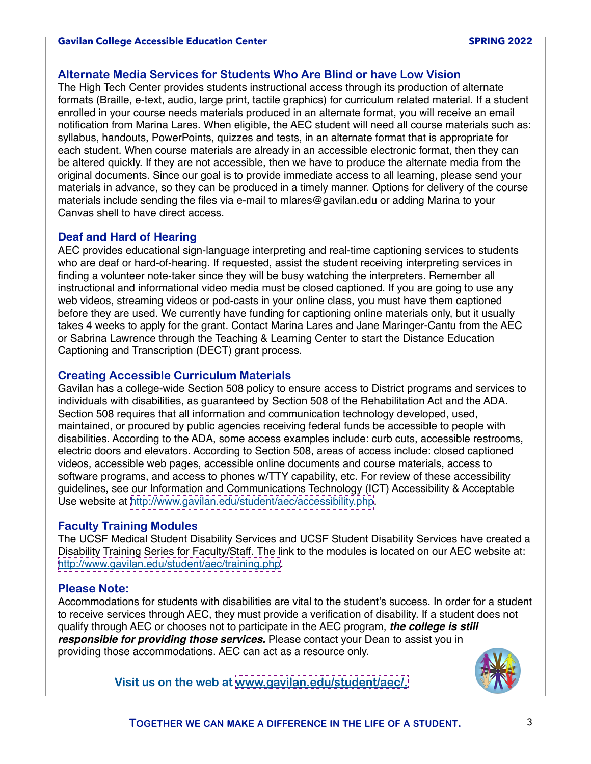#### <span id="page-2-0"></span>**Alternate Media Services for Students Who Are Blind or have Low Vision**

The High Tech Center provides students instructional access through its production of alternate formats (Braille, e-text, audio, large print, tactile graphics) for curriculum related material. If a student enrolled in your course needs materials produced in an alternate format, you will receive an email notification from Marina Lares. When eligible, the AEC student will need all course materials such as: syllabus, handouts, PowerPoints, quizzes and tests, in an alternate format that is appropriate for each student. When course materials are already in an accessible electronic format, then they can be altered quickly. If they are not accessible, then we have to produce the alternate media from the original documents. Since our goal is to provide immediate access to all learning, please send your materials in advance, so they can be produced in a timely manner. Options for delivery of the course materials include sending the files via e-mail to [mlares@gavilan.edu](mailto:mlares@gavilan.edu) or adding Marina to your Canvas shell to have direct access.

#### **Deaf and Hard of Hearing**

AEC provides educational sign-language interpreting and real-time captioning services to students who are deaf or hard-of-hearing. If requested, assist the student receiving interpreting services in finding a volunteer note-taker since they will be busy watching the interpreters. Remember all instructional and informational video media must be closed captioned. If you are going to use any web videos, streaming videos or pod-casts in your online class, you must have them captioned before they are used. We currently have funding for captioning online materials only, but it usually takes 4 weeks to apply for the grant. Contact Marina Lares and Jane Maringer-Cantu from the AEC or Sabrina Lawrence through the Teaching & Learning Center to start the Distance Education Captioning and Transcription (DECT) grant process.

#### **Creating Accessible Curriculum Materials**

Gavilan has a college-wide Section 508 policy to ensure access to District programs and services to individuals with disabilities, as guaranteed by Section 508 of the Rehabilitation Act and the ADA. Section 508 requires that all information and communication technology developed, used, maintained, or procured by public agencies receiving federal funds be accessible to people with disabilities. According to the ADA, some access examples include: curb cuts, accessible restrooms, electric doors and elevators. According to Section 508, areas of access include: closed captioned videos, accessible web pages, accessible online documents and course materials, access to software programs, and access to phones w/TTY capability, etc. For review of these accessibility guidelines, see our Information and Communications Technology (ICT) Accessibility & Acceptable Use website at [http://www.gavilan.edu/student/aec/accessibility.php.](http://www.gavilan.edu/student/aec/accessibility.php)

#### **Faculty Training Modules**

The UCSF Medical Student Disability Services and UCSF Student Disability Services have created a Disability Training Series for Faculty/Staff. The link to the modules is located on our AEC website at: [http://www.gavilan.edu/student/aec/training.php.](http://www.gavilan.edu/student/aec/training.php)

#### **Please Note:**

Accommodations for students with disabilities are vital to the student's success. In order for a student to receive services through AEC, they must provide a verification of disability. If a student does not qualify through AEC or chooses not to participate in the AEC program, *the college is still responsible for providing those services.* Please contact your Dean to assist you in providing those accommodations. AEC can act as a resource only.



**Visit us on the web at [www.gavilan.edu/student/aec/.](http://www.gavilan.edu/student/aec/)**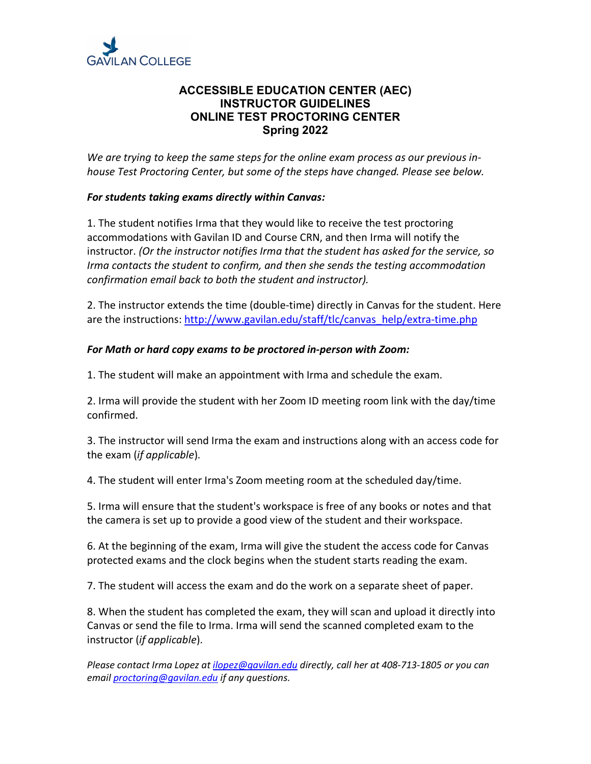<span id="page-3-0"></span>

#### **ACCESSIBLE EDUCATION CENTER (AEC) INSTRUCTOR GUIDELINES ONLINE TEST PROCTORING CENTER Spring 2022**

*We are trying to keep the same steps for the online exam process as our previous inhouse Test Proctoring Center, but some of the steps have changed. Please see below.*

#### *For students taking exams directly within Canvas:*

1. The student notifies Irma that they would like to receive the test proctoring accommodations with Gavilan ID and Course CRN, and then Irma will notify the instructor. *(Or the instructor notifies Irma that the student has asked for the service, so Irma contacts the student to confirm, and then she sends the testing accommodation confirmation email back to both the student and instructor).*

2. The instructor extends the time (double-time) directly in Canvas for the student. Here are the instructions: http://www.gavilan.edu/staff/tlc/canvas\_help/extra-time.php

#### *For Math or hard copy exams to be proctored in-person with Zoom:*

1. The student will make an appointment with Irma and schedule the exam.

2. Irma will provide the student with her Zoom ID meeting room link with the day/time confirmed.

3. The instructor will send Irma the exam and instructions along with an access code for the exam (*if applicable*).

4. The student will enter Irma's Zoom meeting room at the scheduled day/time.

5. Irma will ensure that the student's workspace is free of any books or notes and that the camera is set up to provide a good view of the student and their workspace.

6. At the beginning of the exam, Irma will give the student the access code for Canvas protected exams and the clock begins when the student starts reading the exam.

7. The student will access the exam and do the work on a separate sheet of paper.

8. When the student has completed the exam, they will scan and upload it directly into Canvas or send the file to Irma. Irma will send the scanned completed exam to the instructor (*if applicable*).

*Please contact Irma Lopez at ilopez@gavilan.edu directly, call her at 408-713-1805 or you can email proctoring@gavilan.edu if any questions.*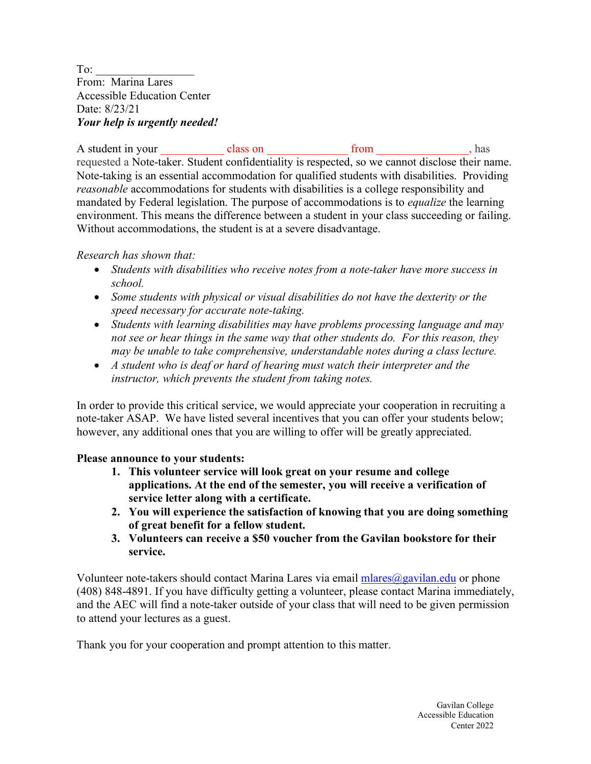<span id="page-4-0"></span>To: From: Marina Lares Accessible Education Center Date: 8/23/21 *Your help is urgently needed!* 

A student in your class on class on from from has requested a Note-taker. Student confidentiality is respected, so we cannot disclose their name. Note-taking is an essential accommodation for qualified students with disabilities. Providing *reasonable* accommodations for students with disabilities is a college responsibility and mandated by Federal legislation. The purpose of accommodations is to *equalize* the learning environment. This means the difference between a student in your class succeeding or failing. Without accommodations, the student is at a severe disadvantage.

*Research has shown that:* 

- *Students with disabilities who receive notes from a note-taker have more success in school.*
- *Some students with physical or visual disabilities do not have the dexterity or the speed necessary for accurate note-taking.*
- *Students with learning disabilities may have problems processing language and may not see or hear things in the same way that other students do. For this reason, they may be unable to take comprehensive, understandable notes during a class lecture.*
- *A student who is deaf or hard of hearing must watch their interpreter and the instructor, which prevents the student from taking notes.*

In order to provide this critical service, we would appreciate your cooperation in recruiting a note-taker ASAP. We have listed several incentives that you can offer your students below; however, any additional ones that you are willing to offer will be greatly appreciated.

#### **Please announce to your students:**

- **1. This volunteer service will look great on your resume and college applications. At the end of the semester, you will receive a verification of service letter along with a certificate.**
- **2. You will experience the satisfaction of knowing that you are doing something of great benefit for a fellow student.**
- **3. Volunteers can receive a \$50 voucher from the Gavilan bookstore for their service.**

Volunteer note-takers should contact Marina Lares via email  $mlares@gavilan.edu$  or phone (408) 848-4891. If you have difficulty getting a volunteer, please contact Marina immediately, and the AEC will find a note-taker outside of your class that will need to be given permission to attend your lectures as a guest.

Thank you for your cooperation and prompt attention to this matter.